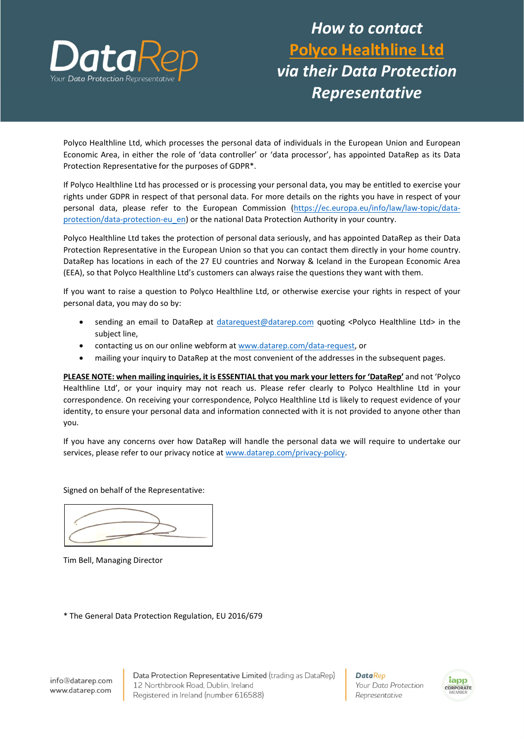

## How to contact Polyco Healthline Ltd via their Data Protection Representative

Polyco Healthline Ltd, which processes the personal data of individuals in the European Union and European Economic Area, in either the role of 'data controller' or 'data processor', has appointed DataRep as its Data Protection Representative for the purposes of GDPR\*.

If Polyco Healthline Ltd has processed or is processing your personal data, you may be entitled to exercise your rights under GDPR in respect of that personal data. For more details on the rights you have in respect of your personal data, please refer to the European Commission (https://ec.europa.eu/info/law/law-topic/dataprotection/data-protection-eu\_en) or the national Data Protection Authority in your country.

Polyco Healthline Ltd takes the protection of personal data seriously, and has appointed DataRep as their Data Protection Representative in the European Union so that you can contact them directly in your home country. DataRep has locations in each of the 27 EU countries and Norway & Iceland in the European Economic Area (EEA), so that Polyco Healthline Ltd's customers can always raise the questions they want with them.

If you want to raise a question to Polyco Healthline Ltd, or otherwise exercise your rights in respect of your personal data, you may do so by:

- sending an email to DataRep at datarequest@datarep.com quoting <Polyco Healthline Ltd> in the subject line,
- contacting us on our online webform at www.datarep.com/data-request, or
- mailing your inquiry to DataRep at the most convenient of the addresses in the subsequent pages.

PLEASE NOTE: when mailing inquiries, it is ESSENTIAL that you mark your letters for 'DataRep' and not 'Polyco Healthline Ltd', or your inquiry may not reach us. Please refer clearly to Polyco Healthline Ltd in your correspondence. On receiving your correspondence, Polyco Healthline Ltd is likely to request evidence of your identity, to ensure your personal data and information connected with it is not provided to anyone other than you.

If you have any concerns over how DataRep will handle the personal data we will require to undertake our services, please refer to our privacy notice at www.datarep.com/privacy-policy.

Signed on behalf of the Representative:

Tim Bell, Managing Director

\* The General Data Protection Regulation, EU 2016/679

Data Protection Representative Limited (trading as DataRep) 12 Northbrook Road, Dublin, Ireland Registered in Ireland (number 616588)